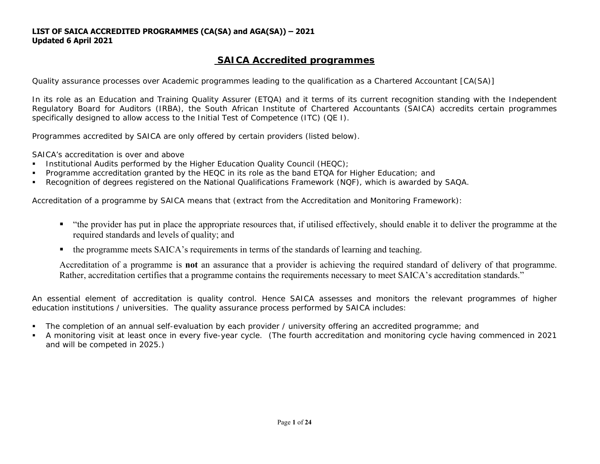# **SAICA Accredited programmes**

*Quality assurance processes over Academic programmes leading to the qualification as a Chartered Accountant [CA(SA)]* 

In its role as an Education and Training Quality Assurer (ETQA) and it terms of its current recognition standing with the Independent Regulatory Board for Auditors (IRBA), the South African Institute of Chartered Accountants (SAICA) accredits certain programmes specifically designed to allow access to the Initial Test of Competence (ITC) (QE I).

Programmes accredited by SAICA are only offered by certain providers (listed below).

SAICA's accreditation is over and above

- $\mathbf{r}$ Institutional Audits performed by the Higher Education Quality Council (HEQC);
- $\blacksquare$ Programme accreditation granted by the HEQC in its role as the band ETQA for Higher Education; and
- $\blacksquare$ Recognition of degrees registered on the National Qualifications Framework (NQF), which is awarded by SAQA.

Accreditation of a programme by SAICA means that (extract from the Accreditation and Monitoring Framework):

- "the provider has put in place the appropriate resources that, if utilised effectively, should enable it to deliver the programme at the required standards and levels of quality; and
- $\blacksquare$ the programme meets SAICA's requirements in terms of the standards of learning and teaching.

Accreditation of a programme is **not** an assurance that a provider is achieving the required standard of delivery of that programme. Rather, accreditation certifies that a programme contains the requirements necessary to meet SAICA's accreditation standards."

An essential element of accreditation is quality control. Hence SAICA assesses and monitors the relevant programmes of higher education institutions / universities. The quality assurance process performed by SAICA includes:

- $\blacksquare$ The completion of an annual self-evaluation by each provider / university offering an accredited programme; and
- $\mathbf{r}$  A monitoring visit at least once in every five-year cycle. (The fourth accreditation and monitoring cycle having commenced in 2021 and will be competed in 2025.)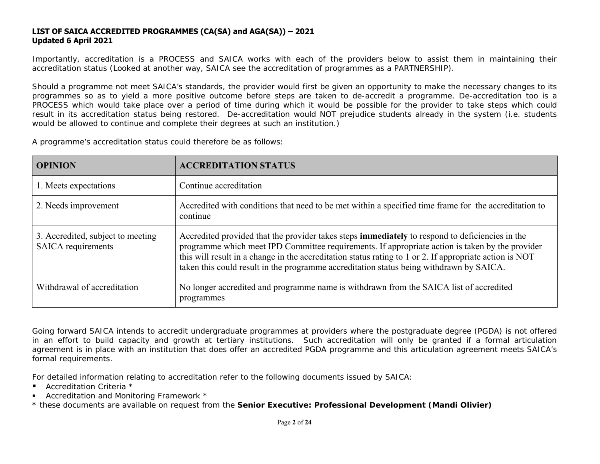Importantly, accreditation is a PROCESS and SAICA works with each of the providers below to assist them in maintaining their accreditation status (Looked at another way, SAICA see the accreditation of programmes as a PARTNERSHIP).

Should a programme not meet SAICA's standards, the provider would first be given an opportunity to make the necessary changes to its programmes so as to yield a more positive outcome before steps are taken to de-accredit a programme. De-accreditation too is a PROCESS which would take place over a period of time during which it would be possible for the provider to take steps which could result in its accreditation status being restored. De-accreditation would NOT prejudice students already in the system (i.e. students would be allowed to continue and complete their degrees at such an institution.)

A programme's accreditation status could therefore be as follows:

| <b>OPINION</b>                                          | <b>ACCREDITATION STATUS</b>                                                                                                                                                                                                                                                                                                                                                                                     |
|---------------------------------------------------------|-----------------------------------------------------------------------------------------------------------------------------------------------------------------------------------------------------------------------------------------------------------------------------------------------------------------------------------------------------------------------------------------------------------------|
| 1. Meets expectations                                   | Continue accreditation                                                                                                                                                                                                                                                                                                                                                                                          |
| 2. Needs improvement                                    | Accredited with conditions that need to be met within a specified time frame for the accreditation to<br>continue                                                                                                                                                                                                                                                                                               |
| 3. Accredited, subject to meeting<br>SAICA requirements | Accredited provided that the provider takes steps <b>immediately</b> to respond to deficiencies in the<br>programme which meet IPD Committee requirements. If appropriate action is taken by the provider<br>this will result in a change in the accreditation status rating to 1 or 2. If appropriate action is NOT<br>taken this could result in the programme accreditation status being withdrawn by SAICA. |
| Withdrawal of accreditation                             | No longer accredited and programme name is withdrawn from the SAICA list of accredited<br>programmes                                                                                                                                                                                                                                                                                                            |

Going forward SAICA intends to accredit undergraduate programmes at providers where the postgraduate degree (PGDA) is not offered in an effort to build capacity and growth at tertiary institutions. Such accreditation will only be granted if a formal articulation agreement is in place with an institution that does offer an accredited PGDA programme and this articulation agreement meets SAICA's formal requirements.

For detailed information relating to accreditation refer to the following documents issued by SAICA:

- Accreditation Criteria \*
- Accreditation and Monitoring Framework \*
- \* these documents are available on request from the *Senior Executive: Professional Development (Mandi Olivier)*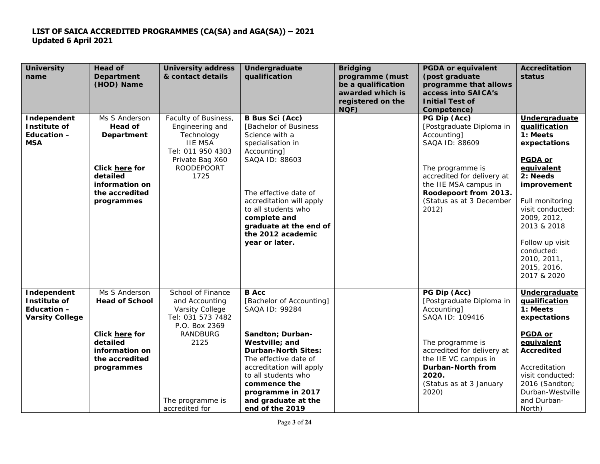| <b>University</b><br>name                                            | Head of<br><b>Department</b><br>(HOD) Name                                                                                           | <b>University address</b><br>& contact details                                                                                                         | Undergraduate<br>qualification                                                                                                                                                                                                                                                             | <b>Bridging</b><br>programme (must<br>be a qualification<br>awarded which is<br>registered on the<br>NQF) | <b>PGDA or equivalent</b><br>(post graduate<br>programme that allows<br>access into SAICA's<br><b>Initial Test of</b><br>Competence)                                                                                   | Accreditation<br>status                                                                                                                                                                                                                                                  |
|----------------------------------------------------------------------|--------------------------------------------------------------------------------------------------------------------------------------|--------------------------------------------------------------------------------------------------------------------------------------------------------|--------------------------------------------------------------------------------------------------------------------------------------------------------------------------------------------------------------------------------------------------------------------------------------------|-----------------------------------------------------------------------------------------------------------|------------------------------------------------------------------------------------------------------------------------------------------------------------------------------------------------------------------------|--------------------------------------------------------------------------------------------------------------------------------------------------------------------------------------------------------------------------------------------------------------------------|
| Independent<br>Institute of<br>Education -<br><b>MSA</b>             | Ms S Anderson<br>Head of<br><b>Department</b><br>Click here for<br>detailed<br><i>information on</i><br>the accredited<br>programmes | Faculty of Business,<br>Engineering and<br>Technology<br><b>IIE MSA</b><br>Tel: 011 950 4303<br>Private Bag X60<br><b>ROODEPOORT</b><br>1725           | <b>B Bus Sci (Acc)</b><br><b>Bachelor of Business</b><br>Science with a<br>specialisation in<br>Accounting]<br>SAQA ID: 88603<br>The effective date of<br>accreditation will apply<br>to all students who<br>complete and<br>graduate at the end of<br>the 2012 academic<br>year or later. |                                                                                                           | PG Dip (Acc)<br>[Postgraduate Diploma in<br>Accounting]<br>SAQA ID: 88609<br>The programme is<br>accredited for delivery at<br>the IIE MSA campus in<br>Roodepoort from 2013.<br>(Status as at 3 December<br>2012)     | Undergraduate<br>qualification<br>1: Meets<br>expectations<br><b>PGDA or</b><br>equivalent<br>2: Needs<br>improvement<br>Full monitoring<br>visit conducted:<br>2009, 2012,<br>2013 & 2018<br>Follow up visit<br>conducted:<br>2010, 2011,<br>2015, 2016,<br>2017 & 2020 |
| Independent<br>Institute of<br>Education -<br><b>Varsity College</b> | Ms S Anderson<br><b>Head of School</b><br>Click here for<br>detailed<br><i>information on</i><br>the accredited<br>programmes        | School of Finance<br>and Accounting<br>Varsity College<br>Tel: 031 573 7482<br>P.O. Box 2369<br>RANDBURG<br>2125<br>The programme is<br>accredited for | <b>B</b> Acc<br>[Bachelor of Accounting]<br>SAQA ID: 99284<br>Sandton; Durban-<br>Westville; and<br><b>Durban-North Sites:</b><br>The effective date of<br>accreditation will apply<br>to all students who<br>commence the<br>programme in 2017<br>and graduate at the<br>end of the 2019  |                                                                                                           | PG Dip (Acc)<br>[Postgraduate Diploma in<br>Accounting]<br>SAQA ID: 109416<br>The programme is<br>accredited for delivery at<br>the IIE VC campus in<br>Durban-North from<br>2020.<br>(Status as at 3 January<br>2020) | Undergraduate<br>qualification<br>1: Meets<br>expectations<br><b>PGDA</b> or<br>equivalent<br><b>Accredited</b><br>Accreditation<br>visit conducted:<br>2016 (Sandton;<br>Durban-Westville<br>and Durban-<br>North)                                                      |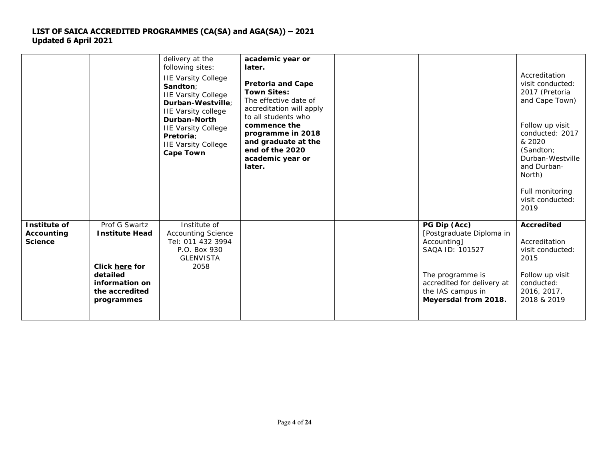|                                              |                                                                                                                        | delivery at the<br>following sites:<br><b>IIE Varsity College</b><br>Sandton;<br><b>IIE Varsity College</b><br>Durban-Westville:<br><b>IIE Varsity college</b><br>Durban-North<br><b>IIE Varsity College</b><br><b>Pretoria:</b><br><b>IIE Varsity College</b><br><b>Cape Town</b> | academic year or<br>later.<br><b>Pretoria and Cape</b><br><b>Town Sites:</b><br>The effective date of<br>accreditation will apply<br>to all students who<br>commence the<br>programme in 2018<br>and graduate at the<br>end of the 2020<br>academic year or<br>later. |                                                                                                                                                                           | Accreditation<br>visit conducted:<br>2017 (Pretoria<br>and Cape Town)<br>Follow up visit<br>conducted: 2017<br>& 2020<br>(Sandton;<br>Durban-Westville<br>and Durban-<br>North)<br>Full monitoring<br>visit conducted:<br>2019 |
|----------------------------------------------|------------------------------------------------------------------------------------------------------------------------|------------------------------------------------------------------------------------------------------------------------------------------------------------------------------------------------------------------------------------------------------------------------------------|-----------------------------------------------------------------------------------------------------------------------------------------------------------------------------------------------------------------------------------------------------------------------|---------------------------------------------------------------------------------------------------------------------------------------------------------------------------|--------------------------------------------------------------------------------------------------------------------------------------------------------------------------------------------------------------------------------|
| Institute of<br>Accounting<br><b>Science</b> | Prof G Swartz<br><b>Institute Head</b><br>Click here for<br>detailed<br>information on<br>the accredited<br>programmes | Institute of<br><b>Accounting Science</b><br>Tel: 011 432 3994<br>P.O. Box 930<br><b>GLENVISTA</b><br>2058                                                                                                                                                                         |                                                                                                                                                                                                                                                                       | PG Dip (Acc)<br>[Postgraduate Diploma in<br>Accounting]<br>SAQA ID: 101527<br>The programme is<br>accredited for delivery at<br>the IAS campus in<br>Meyersdal from 2018. | <b>Accredited</b><br>Accreditation<br>visit conducted:<br>2015<br>Follow up visit<br>conducted:<br>2016, 2017,<br>2018 & 2019                                                                                                  |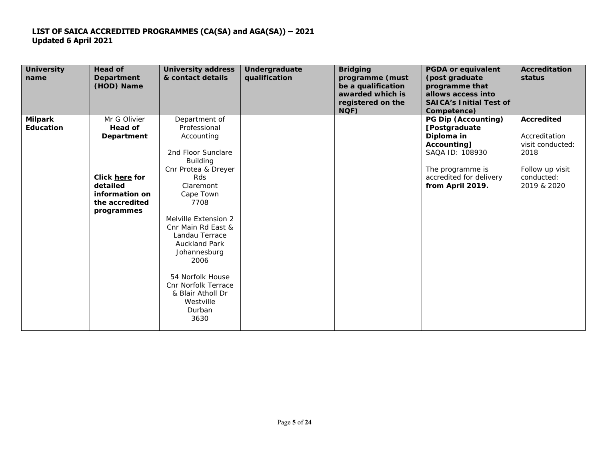| <b>University</b><br>name | <b>Head of</b><br>Department<br>(HOD) Name | <b>University address</b><br>& contact details | Undergraduate<br>qualification | <b>Bridging</b><br>programme (must<br>be a qualification<br>awarded which is<br>registered on the<br>NQF) | <b>PGDA or equivalent</b><br>(post graduate<br>programme that<br>allows access into<br><b>SAICA's Initial Test of</b><br>Competence) | <b>Accreditation</b><br>status |
|---------------------------|--------------------------------------------|------------------------------------------------|--------------------------------|-----------------------------------------------------------------------------------------------------------|--------------------------------------------------------------------------------------------------------------------------------------|--------------------------------|
| <b>Milpark</b>            | Mr G Olivier                               | Department of                                  |                                |                                                                                                           | PG Dip (Accounting)                                                                                                                  | <b>Accredited</b>              |
| <b>Education</b>          | Head of                                    | Professional                                   |                                |                                                                                                           | [Postgraduate                                                                                                                        |                                |
|                           | <b>Department</b>                          | Accounting                                     |                                |                                                                                                           | Diploma in                                                                                                                           | Accreditation                  |
|                           |                                            |                                                |                                |                                                                                                           | Accounting]                                                                                                                          | visit conducted:               |
|                           |                                            | 2nd Floor Sunclare                             |                                |                                                                                                           | SAQA ID: 108930                                                                                                                      | 2018                           |
|                           |                                            | <b>Building</b><br>Cnr Protea & Dreyer         |                                |                                                                                                           | The programme is                                                                                                                     | Follow up visit                |
|                           | Click here for                             | Rds                                            |                                |                                                                                                           | accredited for delivery                                                                                                              | conducted:                     |
|                           | detailed                                   | Claremont                                      |                                |                                                                                                           | from April 2019.                                                                                                                     | 2019 & 2020                    |
|                           | information on                             | Cape Town                                      |                                |                                                                                                           |                                                                                                                                      |                                |
|                           | the accredited                             | 7708                                           |                                |                                                                                                           |                                                                                                                                      |                                |
|                           | programmes                                 |                                                |                                |                                                                                                           |                                                                                                                                      |                                |
|                           |                                            | Melville Extension 2                           |                                |                                                                                                           |                                                                                                                                      |                                |
|                           |                                            | Cnr Main Rd East &                             |                                |                                                                                                           |                                                                                                                                      |                                |
|                           |                                            | Landau Terrace                                 |                                |                                                                                                           |                                                                                                                                      |                                |
|                           |                                            | <b>Auckland Park</b>                           |                                |                                                                                                           |                                                                                                                                      |                                |
|                           |                                            | Johannesburg                                   |                                |                                                                                                           |                                                                                                                                      |                                |
|                           |                                            | 2006                                           |                                |                                                                                                           |                                                                                                                                      |                                |
|                           |                                            |                                                |                                |                                                                                                           |                                                                                                                                      |                                |
|                           |                                            | 54 Norfolk House<br>Cnr Norfolk Terrace        |                                |                                                                                                           |                                                                                                                                      |                                |
|                           |                                            | & Blair Atholl Dr                              |                                |                                                                                                           |                                                                                                                                      |                                |
|                           |                                            | Westville                                      |                                |                                                                                                           |                                                                                                                                      |                                |
|                           |                                            | Durban                                         |                                |                                                                                                           |                                                                                                                                      |                                |
|                           |                                            | 3630                                           |                                |                                                                                                           |                                                                                                                                      |                                |
|                           |                                            |                                                |                                |                                                                                                           |                                                                                                                                      |                                |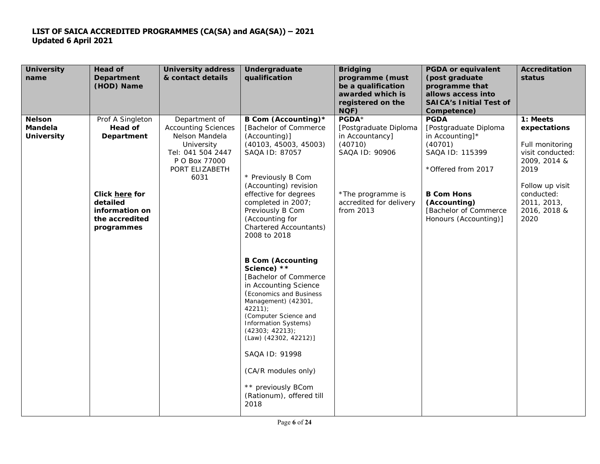| <b>University</b><br>name                     | <b>Head of</b><br><b>Department</b><br>(HOD) Name                                                                                | <b>University address</b><br>& contact details                                                                                              | Undergraduate<br>qualification                                                                                                                                                                                                                                                                                                                       | <b>Bridging</b><br>programme (must<br>be a qualification<br>awarded which is<br>registered on the<br>NQF)                                   | <b>PGDA or equivalent</b><br>(post graduate<br>programme that<br>allows access into<br><b>SAICA's Initial Test of</b><br>Competence)                                                                 | Accreditation<br>status                                                                                                                                         |
|-----------------------------------------------|----------------------------------------------------------------------------------------------------------------------------------|---------------------------------------------------------------------------------------------------------------------------------------------|------------------------------------------------------------------------------------------------------------------------------------------------------------------------------------------------------------------------------------------------------------------------------------------------------------------------------------------------------|---------------------------------------------------------------------------------------------------------------------------------------------|------------------------------------------------------------------------------------------------------------------------------------------------------------------------------------------------------|-----------------------------------------------------------------------------------------------------------------------------------------------------------------|
| <b>Nelson</b><br>Mandela<br><b>University</b> | Prof A Singleton<br>Head of<br><b>Department</b><br>Click here for<br>detailed<br>information on<br>the accredited<br>programmes | Department of<br><b>Accounting Sciences</b><br>Nelson Mandela<br>University<br>Tel: 041 504 2447<br>P O Box 77000<br>PORT ELIZABETH<br>6031 | B Com (Accounting)*<br>[Bachelor of Commerce<br>(Accounting)]<br>(40103, 45003, 45003)<br>SAQA ID: 87057<br>* Previously B Com<br>(Accounting) revision<br>effective for degrees<br>completed in 2007;<br>Previously B Com<br>(Accounting for<br><b>Chartered Accountants)</b><br>2008 to 2018                                                       | PGDA*<br>[Postgraduate Diploma<br>in Accountancy]<br>(40710)<br>SAQA ID: 90906<br>*The programme is<br>accredited for delivery<br>from 2013 | <b>PGDA</b><br>[Postgraduate Diploma<br>in Accounting]*<br>(40701)<br>SAQA ID: 115399<br>* Offered from 2017<br><b>B Com Hons</b><br>(Accounting)<br>[Bachelor of Commerce]<br>Honours (Accounting)] | 1: Meets<br>expectations<br>Full monitoring<br>visit conducted:<br>2009, 2014 &<br>2019<br>Follow up visit<br>conducted:<br>2011, 2013,<br>2016, 2018 &<br>2020 |
|                                               |                                                                                                                                  |                                                                                                                                             | <b>B Com (Accounting</b><br>Science) **<br>[Bachelor of Commerce<br>in Accounting Science<br>(Economics and Business<br>Management) (42301,<br>42211<br>(Computer Science and<br>Information Systems)<br>(42303; 42213);<br>(Law) (42302, 42212)]<br>SAQA ID: 91998<br>(CA/R modules only)<br>** previously BCom<br>(Rationum), offered till<br>2018 |                                                                                                                                             |                                                                                                                                                                                                      |                                                                                                                                                                 |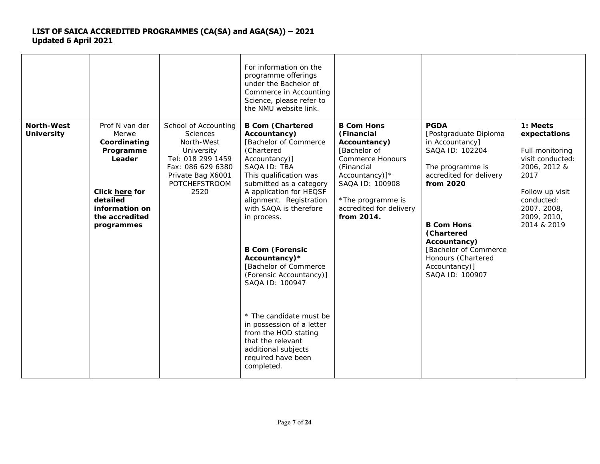|                                 |                                                                                                                                                |                                                                                                                                                                    | For information on the<br>programme offerings<br>under the Bachelor of<br>Commerce in Accounting<br>Science, please refer to<br>the NMU website link.                                                                                                                                                                                                                                                                                                                                                                                                  |                                                                                                                                                                                                             |                                                                                                                                                                                                                                                                              |                                                                                                                                                                       |
|---------------------------------|------------------------------------------------------------------------------------------------------------------------------------------------|--------------------------------------------------------------------------------------------------------------------------------------------------------------------|--------------------------------------------------------------------------------------------------------------------------------------------------------------------------------------------------------------------------------------------------------------------------------------------------------------------------------------------------------------------------------------------------------------------------------------------------------------------------------------------------------------------------------------------------------|-------------------------------------------------------------------------------------------------------------------------------------------------------------------------------------------------------------|------------------------------------------------------------------------------------------------------------------------------------------------------------------------------------------------------------------------------------------------------------------------------|-----------------------------------------------------------------------------------------------------------------------------------------------------------------------|
| North-West<br><b>University</b> | Prof N van der<br>Merwe<br>Coordinating<br>Programme<br>Leader<br>Click here for<br>detailed<br>information on<br>the accredited<br>programmes | School of Accounting<br><b>Sciences</b><br>North-West<br>University<br>Tel: 018 299 1459<br>Fax: 086 629 6380<br>Private Bag X6001<br><b>POTCHEFSTROOM</b><br>2520 | <b>B Com (Chartered</b><br>Accountancy)<br>[Bachelor of Commerce<br>(Chartered<br>Accountancy)]<br>SAQA ID: TBA<br>This qualification was<br>submitted as a category<br>A application for HEQSF<br>alignment. Registration<br>with SAQA is therefore<br>in process.<br><b>B Com (Forensic</b><br>Accountancy)*<br>[Bachelor of Commerce]<br>(Forensic Accountancy)]<br>SAQA ID: 100947<br>* The candidate must be<br>in possession of a letter<br>from the HOD stating<br>that the relevant<br>additional subjects<br>required have been<br>completed. | <b>B Com Hons</b><br>(Financial<br>Accountancy)<br>[Bachelor of<br><b>Commerce Honours</b><br>(Financial<br>Accountancy)]*<br>SAQA ID: 100908<br>*The programme is<br>accredited for delivery<br>from 2014. | <b>PGDA</b><br>[Postgraduate Diploma<br>in Accountancy]<br>SAQA ID: 102204<br>The programme is<br>accredited for delivery<br>from 2020<br><b>B Com Hons</b><br>(Chartered<br>Accountancy)<br>[Bachelor of Commerce<br>Honours (Chartered<br>Accountancy)]<br>SAQA ID: 100907 | 1: Meets<br>expectations<br>Full monitoring<br>visit conducted:<br>2006, 2012 &<br>2017<br>Follow up visit<br>conducted:<br>2007, 2008,<br>2009, 2010,<br>2014 & 2019 |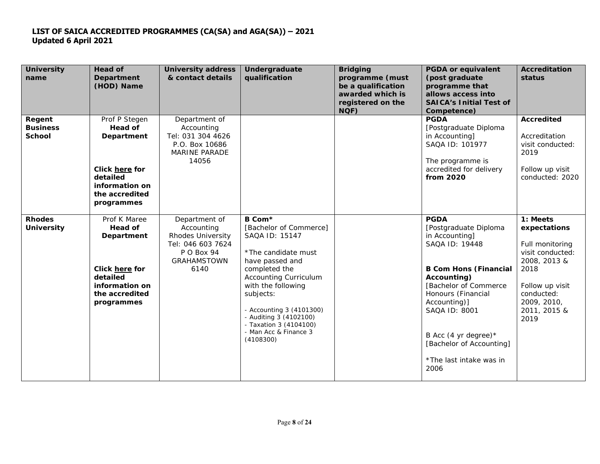| <b>University</b><br>name                  | <b>Head of</b><br><b>Department</b><br>(HOD) Name                                                                             | <b>University address</b><br>& contact details                                                                           | Undergraduate<br>qualification                                                                                                                                                                                                                                                                          | <b>Bridging</b><br>programme (must<br>be a qualification<br>awarded which is<br>registered on the<br>NQF) | <b>PGDA or equivalent</b><br>(post graduate<br>programme that<br>allows access into<br><b>SAICA's Initial Test of</b><br>Competence)                                                                                                                                                                | <b>Accreditation</b><br>status                                                                                                                                  |
|--------------------------------------------|-------------------------------------------------------------------------------------------------------------------------------|--------------------------------------------------------------------------------------------------------------------------|---------------------------------------------------------------------------------------------------------------------------------------------------------------------------------------------------------------------------------------------------------------------------------------------------------|-----------------------------------------------------------------------------------------------------------|-----------------------------------------------------------------------------------------------------------------------------------------------------------------------------------------------------------------------------------------------------------------------------------------------------|-----------------------------------------------------------------------------------------------------------------------------------------------------------------|
| Regent<br><b>Business</b><br><b>School</b> | Prof P Stegen<br>Head of<br><b>Department</b><br>Click here for<br>detailed<br>information on<br>the accredited<br>programmes | Department of<br>Accounting<br>Tel: 031 304 4626<br>P.O. Box 10686<br><b>MARINE PARADE</b><br>14056                      |                                                                                                                                                                                                                                                                                                         |                                                                                                           | <b>PGDA</b><br>[Postgraduate Diploma<br>in Accounting]<br>SAQA ID: 101977<br>The programme is<br>accredited for delivery<br>from 2020                                                                                                                                                               | <b>Accredited</b><br>Accreditation<br>visit conducted:<br>2019<br>Follow up visit<br>conducted: 2020                                                            |
| <b>Rhodes</b><br><b>University</b>         | Prof K Maree<br>Head of<br><b>Department</b><br>Click here for<br>detailed<br>information on<br>the accredited<br>programmes  | Department of<br>Accounting<br><b>Rhodes University</b><br>Tel: 046 603 7624<br>P O Box 94<br><b>GRAHAMSTOWN</b><br>6140 | B Com*<br>[Bachelor of Commerce]<br>SAQA ID: 15147<br>* The candidate must<br>have passed and<br>completed the<br><b>Accounting Curriculum</b><br>with the following<br>subjects:<br>- Accounting 3 (4101300)<br>- Auditing 3 (4102100)<br>- Taxation 3 (4104100)<br>- Man Acc & Finance 3<br>(4108300) |                                                                                                           | <b>PGDA</b><br>[Postgraduate Diploma<br>in Accounting]<br>SAQA ID: 19448<br><b>B Com Hons (Financial</b><br>Accounting)<br>[Bachelor of Commerce]<br>Honours (Financial<br>Accounting)]<br>SAQA ID: 8001<br>B Acc (4 yr degree) $*$<br>[Bachelor of Accounting]<br>* The last intake was in<br>2006 | 1: Meets<br>expectations<br>Full monitoring<br>visit conducted:<br>2008, 2013 &<br>2018<br>Follow up visit<br>conducted:<br>2009, 2010,<br>2011, 2015 &<br>2019 |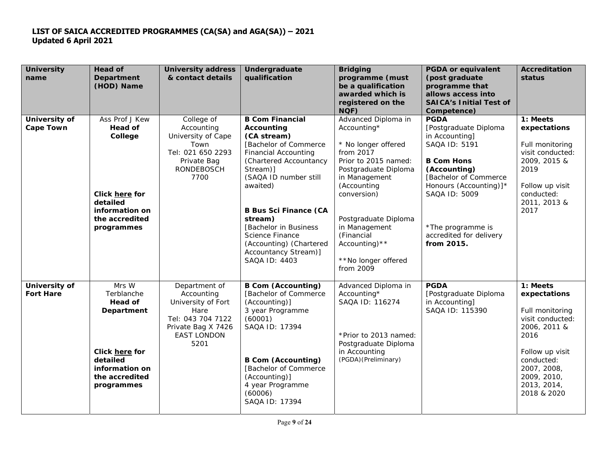| <b>University</b><br>name         | <b>Head of</b><br><b>Department</b><br>(HOD) Name                                                                            | <b>University address</b><br>& contact details                                                                                     | Undergraduate<br>qualification                                                                                                                                                                                                                                                                                                                     | <b>Bridging</b><br>programme (must<br>be a qualification<br>awarded which is<br>registered on the<br>NQF)                                                                                                                                                                             | <b>PGDA or equivalent</b><br>(post graduate<br>programme that<br>allows access into<br><b>SAICA's Initial Test of</b><br>Competence)                                                                                                           | Accreditation<br>status                                                                                                                                                              |
|-----------------------------------|------------------------------------------------------------------------------------------------------------------------------|------------------------------------------------------------------------------------------------------------------------------------|----------------------------------------------------------------------------------------------------------------------------------------------------------------------------------------------------------------------------------------------------------------------------------------------------------------------------------------------------|---------------------------------------------------------------------------------------------------------------------------------------------------------------------------------------------------------------------------------------------------------------------------------------|------------------------------------------------------------------------------------------------------------------------------------------------------------------------------------------------------------------------------------------------|--------------------------------------------------------------------------------------------------------------------------------------------------------------------------------------|
| University of<br><b>Cape Town</b> | Ass Prof J Kew<br>Head of<br>College<br>Click here for<br>detailed<br>information on<br>the accredited<br>programmes         | College of<br>Accounting<br>University of Cape<br>Town<br>Tel: 021 650 2293<br>Private Bag<br><b>RONDEBOSCH</b><br>7700            | <b>B Com Financial</b><br>Accounting<br>(CA stream)<br>[Bachelor of Commerce<br><b>Financial Accounting</b><br>(Chartered Accountancy<br>Stream)]<br>(SAQA ID number still<br>awaited)<br><b>B Bus Sci Finance (CA</b><br>stream)<br>[Bachelor in Business]<br>Science Finance<br>(Accounting) (Chartered<br>Accountancy Stream)]<br>SAQA ID: 4403 | Advanced Diploma in<br>Accounting*<br>* No longer offered<br>from 2017<br>Prior to 2015 named:<br>Postgraduate Diploma<br>in Management<br>(Accounting<br>conversion)<br>Postgraduate Diploma<br>in Management<br>(Financial<br>Accounting) $**$<br>** No longer offered<br>from 2009 | <b>PGDA</b><br>[Postgraduate Diploma<br>in Accounting]<br>SAQA ID: 5191<br><b>B Com Hons</b><br>(Accounting)<br>[Bachelor of Commerce<br>Honours (Accounting)]*<br>SAQA ID: 5009<br>*The programme is<br>accredited for delivery<br>from 2015. | 1: Meets<br>expectations<br>Full monitoring<br>visit conducted:<br>2009, 2015 &<br>2019<br>Follow up visit<br>conducted:<br>2011, 2013 &<br>2017                                     |
| University of<br><b>Fort Hare</b> | Mrs W<br>Terblanche<br>Head of<br>Department<br>Click here for<br>detailed<br>information on<br>the accredited<br>programmes | Department of<br>Accounting<br>University of Fort<br>Hare<br>Tel: 043 704 7122<br>Private Bag X 7426<br><b>EAST LONDON</b><br>5201 | <b>B Com (Accounting)</b><br>[Bachelor of Commerce<br>(Accounting)]<br>3 year Programme<br>(60001)<br>SAQA ID: 17394<br><b>B Com (Accounting)</b><br>[Bachelor of Commerce]<br>(Accounting)]<br>4 year Programme<br>(60006)<br>SAQA ID: 17394                                                                                                      | Advanced Diploma in<br>Accounting*<br>SAQA ID: 116274<br>*Prior to 2013 named:<br>Postgraduate Diploma<br>in Accounting<br>(PGDA) (Preliminary)                                                                                                                                       | <b>PGDA</b><br>[Postgraduate Diploma<br>in Accounting]<br>SAQA ID: 115390                                                                                                                                                                      | 1: Meets<br>expectations<br>Full monitoring<br>visit conducted:<br>2006, 2011 &<br>2016<br>Follow up visit<br>conducted:<br>2007, 2008,<br>2009, 2010,<br>2013, 2014,<br>2018 & 2020 |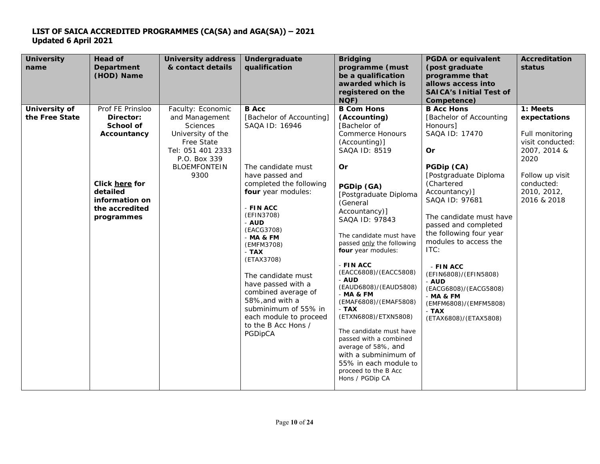| <b>University</b><br>name       | <b>Head of</b><br><b>Department</b><br>(HOD) Name                                                                                         | <b>University address</b><br>& contact details                                                                                                                | Undergraduate<br>qualification                                                                                                                                                                                                                                                                                                                                                                                                     | <b>Bridging</b><br>programme (must<br>be a qualification<br>awarded which is<br>registered on the<br>NQF)                                                                                                                                                                                                                                                                                                                                                                                                                                                                                                          | <b>PGDA or equivalent</b><br>(post graduate<br>programme that<br>allows access into<br><b>SAICA's Initial Test of</b><br>Competence)                                                                                                                                                                                                                                                                                                     | Accreditation<br>status                                                                                                                                |
|---------------------------------|-------------------------------------------------------------------------------------------------------------------------------------------|---------------------------------------------------------------------------------------------------------------------------------------------------------------|------------------------------------------------------------------------------------------------------------------------------------------------------------------------------------------------------------------------------------------------------------------------------------------------------------------------------------------------------------------------------------------------------------------------------------|--------------------------------------------------------------------------------------------------------------------------------------------------------------------------------------------------------------------------------------------------------------------------------------------------------------------------------------------------------------------------------------------------------------------------------------------------------------------------------------------------------------------------------------------------------------------------------------------------------------------|------------------------------------------------------------------------------------------------------------------------------------------------------------------------------------------------------------------------------------------------------------------------------------------------------------------------------------------------------------------------------------------------------------------------------------------|--------------------------------------------------------------------------------------------------------------------------------------------------------|
| University of<br>the Free State | Prof FE Prinsloo<br>Director:<br>School of<br>Accountancy<br>Click here for<br>detailed<br>information on<br>the accredited<br>programmes | Faculty: Economic<br>and Management<br><b>Sciences</b><br>University of the<br>Free State<br>Tel: 051 401 2333<br>P.O. Box 339<br><b>BLOEMFONTEIN</b><br>9300 | <b>B</b> Acc<br>[Bachelor of Accounting]<br>SAQA ID: 16946<br>The candidate must<br>have passed and<br>completed the following<br>four year modules:<br>$-FINACC$<br>(EFIN3708)<br>- AUD<br>(EACG3708)<br>- MA & FM<br>(EMFM3708)<br>- TAX<br>(ETAX3708)<br>The candidate must<br>have passed with a<br>combined average of<br>58%, and with a<br>subminimum of 55% in<br>each module to proceed<br>to the B Acc Hons /<br>PGDipCA | <b>B Com Hons</b><br>(Accounting)<br>[Bachelor of<br><b>Commerce Honours</b><br>(Accounting)]<br>SAQA ID: 8519<br>Or<br>PGDip (GA)<br>[Postgraduate Diploma<br>(General<br>Accountancy)]<br>SAQA ID: 97843<br>The candidate must have<br>passed only the following<br>four year modules:<br>$-FINACC$<br>(EACC6808)/(EACC5808)<br>$-AUD$<br>(EAUD6808)/(EAUD5808)<br>$-MA & FM$<br>(EMAF6808)/(EMAF5808)<br>$-TAX$<br>(ETXN6808)/ETXN5808)<br>The candidate must have<br>passed with a combined<br>average of 58%, and<br>with a subminimum of<br>55% in each module to<br>proceed to the B Acc<br>Hons / PGDip CA | <b>B Acc Hons</b><br>[Bachelor of Accounting<br>Honours]<br>SAQA ID: 17470<br>Or<br>PGDip (CA)<br>[Postgraduate Diploma<br>(Chartered<br>Accountancy)]<br>SAQA ID: 97681<br>The candidate must have<br>passed and completed<br>the following four year<br>modules to access the<br>ITC:<br>- FIN ACC<br>(EFIN6808)/(EFIN5808)<br>- AUD<br>(EACG6808)/(EACG5808)<br>- MA & FM<br>(EMFM6808)/(EMFM5808)<br>$-TAX$<br>(ETAX6808)/(ETAX5808) | 1: Meets<br>expectations<br>Full monitoring<br>visit conducted:<br>2007, 2014 &<br>2020<br>Follow up visit<br>conducted:<br>2010, 2012,<br>2016 & 2018 |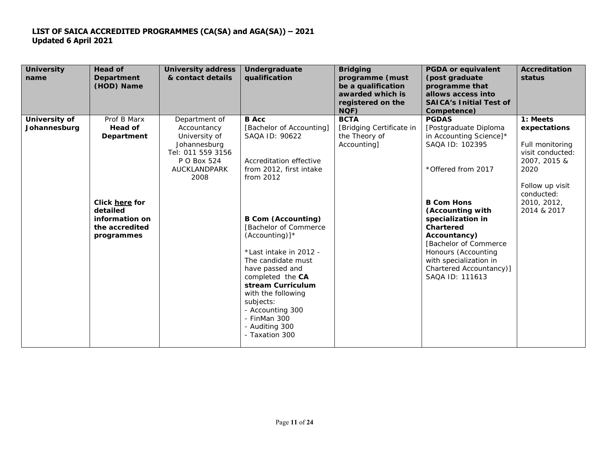| <b>University</b><br>name     | <b>Head of</b><br>Department<br>(HOD) Name                                   | <b>University address</b><br>& contact details                                                                            | Undergraduate<br>qualification                                                                                                                                                                                                                                                                 | <b>Bridging</b><br>programme (must<br>be a qualification<br>awarded which is<br>registered on the<br>NQF) | <b>PGDA or equivalent</b><br>(post graduate<br>programme that<br>allows access into<br><b>SAICA's Initial Test of</b><br>Competence)                                                                             | <b>Accreditation</b><br>status                                                                             |
|-------------------------------|------------------------------------------------------------------------------|---------------------------------------------------------------------------------------------------------------------------|------------------------------------------------------------------------------------------------------------------------------------------------------------------------------------------------------------------------------------------------------------------------------------------------|-----------------------------------------------------------------------------------------------------------|------------------------------------------------------------------------------------------------------------------------------------------------------------------------------------------------------------------|------------------------------------------------------------------------------------------------------------|
| University of<br>Johannesburg | Prof B Marx<br>Head of<br><b>Department</b>                                  | Department of<br>Accountancy<br>University of<br>Johannesburg<br>Tel: 011 559 3156<br>P O Box 524<br>AUCKLANDPARK<br>2008 | <b>B</b> Acc<br>[Bachelor of Accounting]<br>SAQA ID: 90622<br>Accreditation effective<br>from 2012, first intake<br>from 2012                                                                                                                                                                  | <b>BCTA</b><br>[Bridging Certificate in<br>the Theory of<br>Accounting]                                   | <b>PGDAS</b><br>[Postgraduate Diploma<br>in Accounting Science]*<br>SAQA ID: 102395<br>* Offered from 2017                                                                                                       | 1: Meets<br>expectations<br>Full monitoring<br>visit conducted:<br>2007, 2015 &<br>2020<br>Follow up visit |
|                               | Click here for<br>detailed<br>information on<br>the accredited<br>programmes |                                                                                                                           | <b>B Com (Accounting)</b><br>[Bachelor of Commerce<br>$(Accounting)]$ *<br>*Last intake in 2012 -<br>The candidate must<br>have passed and<br>completed the CA<br>stream Curriculum<br>with the following<br>subjects:<br>- Accounting 300<br>- FinMan 300<br>- Auditing 300<br>- Taxation 300 |                                                                                                           | <b>B Com Hons</b><br>(Accounting with<br>specialization in<br>Chartered<br>Accountancy)<br>[Bachelor of Commerce]<br>Honours (Accounting<br>with specialization in<br>Chartered Accountancy)]<br>SAQA ID: 111613 | conducted:<br>2010, 2012,<br>2014 & 2017                                                                   |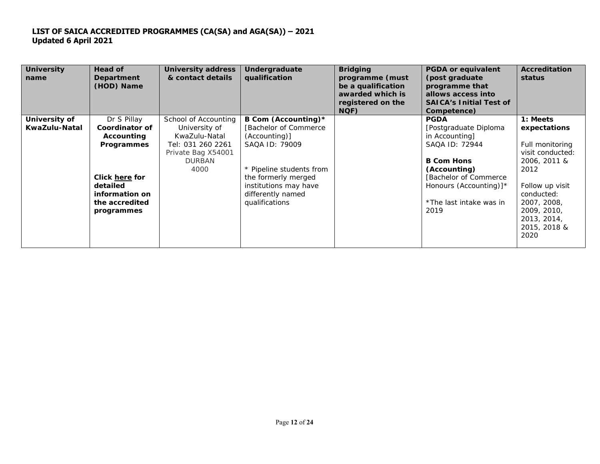| <b>University</b><br>name | Head of<br>Department<br>(HOD) Name | <b>University address</b><br>& contact details | Undergraduate<br>qualification | <b>Bridging</b><br>programme (must<br>be a qualification<br>awarded which is<br>registered on the<br>NQF) | <b>PGDA or equivalent</b><br>(post graduate<br>programme that<br>allows access into<br><b>SAICA's Initial Test of</b><br>Competence) | <b>Accreditation</b><br>status |
|---------------------------|-------------------------------------|------------------------------------------------|--------------------------------|-----------------------------------------------------------------------------------------------------------|--------------------------------------------------------------------------------------------------------------------------------------|--------------------------------|
| University of             | Dr S Pillay                         | School of Accounting                           | B Com (Accounting)*            |                                                                                                           | <b>PGDA</b>                                                                                                                          | 1: Meets                       |
| KwaZulu-Natal             | Coordinator of                      | University of                                  | [Bachelor of Commerce]         |                                                                                                           | [Postgraduate Diploma                                                                                                                | expectations                   |
|                           | Accounting                          | KwaZulu-Natal                                  | (Accounting)]                  |                                                                                                           | in Accounting]                                                                                                                       |                                |
|                           | <b>Programmes</b>                   | Tel: 031 260 2261                              | SAQA ID: 79009                 |                                                                                                           | SAQA ID: 72944                                                                                                                       | Full monitoring                |
|                           |                                     | Private Bag X54001                             |                                |                                                                                                           |                                                                                                                                      | visit conducted:               |
|                           |                                     | <b>DURBAN</b>                                  |                                |                                                                                                           | <b>B Com Hons</b>                                                                                                                    | 2006, 2011 &                   |
|                           |                                     | 4000                                           | * Pipeline students from       |                                                                                                           | (Accounting)                                                                                                                         | 2012                           |
|                           | <b>Click here for</b>               |                                                | the formerly merged            |                                                                                                           | [Bachelor of Commerce]                                                                                                               |                                |
|                           | detailed                            |                                                | institutions may have          |                                                                                                           | Honours (Accounting)]*                                                                                                               | Follow up visit                |
|                           | information on                      |                                                | differently named              |                                                                                                           |                                                                                                                                      | conducted:                     |
|                           | the accredited                      |                                                | qualifications                 |                                                                                                           | * The last intake was in                                                                                                             | 2007, 2008,                    |
|                           | programmes                          |                                                |                                |                                                                                                           | 2019                                                                                                                                 | 2009, 2010,                    |
|                           |                                     |                                                |                                |                                                                                                           |                                                                                                                                      | 2013, 2014,                    |
|                           |                                     |                                                |                                |                                                                                                           |                                                                                                                                      | 2015, 2018 &                   |
|                           |                                     |                                                |                                |                                                                                                           |                                                                                                                                      | 2020                           |
|                           |                                     |                                                |                                |                                                                                                           |                                                                                                                                      |                                |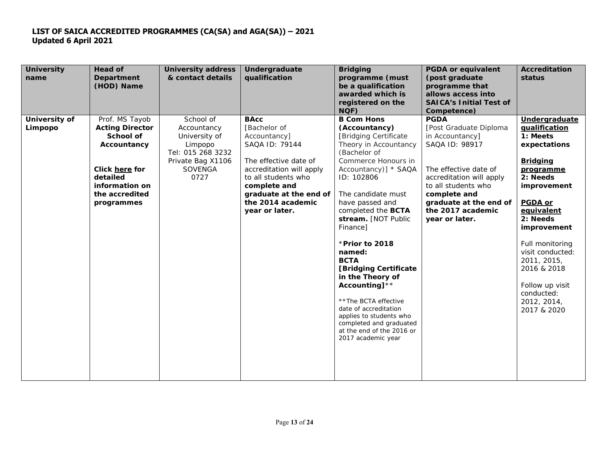| <b>University</b><br>name | <b>Head of</b><br><b>Department</b><br>(HOD) Name                                                                                                           | <b>University address</b><br>& contact details                                                                    | Undergraduate<br>qualification                                                                                                                                                                                             | <b>Bridging</b><br>programme (must<br>be a qualification<br>awarded which is<br>registered on the<br>NQF)                                                                                                                                                                                                                                                                                                                                                                                                                                           | <b>PGDA or equivalent</b><br>(post graduate<br>programme that<br>allows access into<br><b>SAICA's Initial Test of</b><br>Competence)                                                                                                    | <b>Accreditation</b><br>status                                                                                                                                                                                                                                                                                       |
|---------------------------|-------------------------------------------------------------------------------------------------------------------------------------------------------------|-------------------------------------------------------------------------------------------------------------------|----------------------------------------------------------------------------------------------------------------------------------------------------------------------------------------------------------------------------|-----------------------------------------------------------------------------------------------------------------------------------------------------------------------------------------------------------------------------------------------------------------------------------------------------------------------------------------------------------------------------------------------------------------------------------------------------------------------------------------------------------------------------------------------------|-----------------------------------------------------------------------------------------------------------------------------------------------------------------------------------------------------------------------------------------|----------------------------------------------------------------------------------------------------------------------------------------------------------------------------------------------------------------------------------------------------------------------------------------------------------------------|
| University of<br>Limpopo  | Prof. MS Tayob<br><b>Acting Director</b><br><b>School of</b><br>Accountancy<br>Click here for<br>detailed<br>information on<br>the accredited<br>programmes | School of<br>Accountancy<br>University of<br>Limpopo<br>Tel: 015 268 3232<br>Private Bag X1106<br>SOVENGA<br>0727 | <b>BAcc</b><br>[Bachelor of<br>Accountancy]<br>SAQA ID: 79144<br>The effective date of<br>accreditation will apply<br>to all students who<br>complete and<br>graduate at the end of<br>the 2014 academic<br>year or later. | <b>B Com Hons</b><br>(Accountancy)<br>[Bridging Certificate]<br>Theory in Accountancy<br>(Bachelor of<br>Commerce Honours in<br>Accountancy)] * SAQA<br>ID: 102806<br>The candidate must<br>have passed and<br>completed the <b>BCTA</b><br>stream. [NOT Public<br>Finance]<br>* Prior to 2018<br>named:<br><b>BCTA</b><br>[Bridging Certificate<br>in the Theory of<br>Accounting] $**$<br>** The BCTA effective<br>date of accreditation<br>applies to students who<br>completed and graduated<br>at the end of the 2016 or<br>2017 academic year | <b>PGDA</b><br>[Post Graduate Diploma<br>in Accountancy]<br>SAQA ID: 98917<br>The effective date of<br>accreditation will apply<br>to all students who<br>complete and<br>graduate at the end of<br>the 2017 academic<br>year or later. | Undergraduate<br>qualification<br>1: Meets<br>expectations<br><b>Bridging</b><br>programme<br>2: Needs<br>improvement<br><b>PGDA or</b><br>equivalent<br>2: Needs<br>improvement<br>Full monitoring<br>visit conducted:<br>2011, 2015,<br>2016 & 2018<br>Follow up visit<br>conducted:<br>2012, 2014,<br>2017 & 2020 |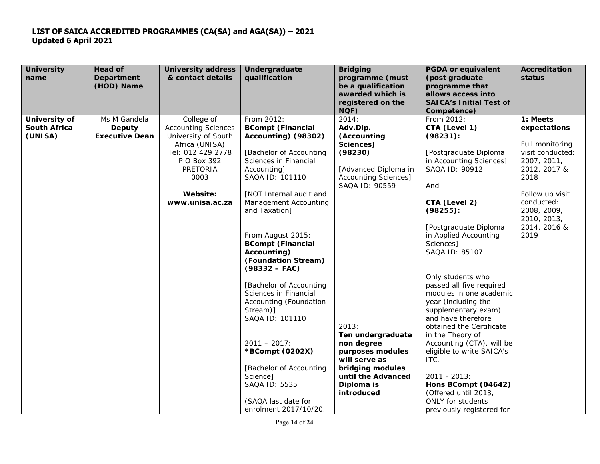| <b>University</b><br>name      | <b>Head of</b><br><b>Department</b><br>(HOD) Name | <b>University address</b><br>& contact details                                                                                                                    | <b>Undergraduate</b><br>qualification                                                                                                                                                                                                                                                                                                                                                                                                                                                                                           | <b>Bridging</b><br>programme (must<br>be a qualification<br>awarded which is<br>registered on the<br>NQF)                                                                                                                                                                       | <b>PGDA or equivalent</b><br>(post graduate<br>programme that<br>allows access into<br><b>SAICA's Initial Test of</b><br>Competence)                                                                                                                                                                                                                                                                                                                                                                                                                     | <b>Accreditation</b><br>status                                                                                                                                                    |
|--------------------------------|---------------------------------------------------|-------------------------------------------------------------------------------------------------------------------------------------------------------------------|---------------------------------------------------------------------------------------------------------------------------------------------------------------------------------------------------------------------------------------------------------------------------------------------------------------------------------------------------------------------------------------------------------------------------------------------------------------------------------------------------------------------------------|---------------------------------------------------------------------------------------------------------------------------------------------------------------------------------------------------------------------------------------------------------------------------------|----------------------------------------------------------------------------------------------------------------------------------------------------------------------------------------------------------------------------------------------------------------------------------------------------------------------------------------------------------------------------------------------------------------------------------------------------------------------------------------------------------------------------------------------------------|-----------------------------------------------------------------------------------------------------------------------------------------------------------------------------------|
| University of                  | Ms M Gandela                                      | College of                                                                                                                                                        | From 2012:                                                                                                                                                                                                                                                                                                                                                                                                                                                                                                                      | 2014:                                                                                                                                                                                                                                                                           | From 2012:                                                                                                                                                                                                                                                                                                                                                                                                                                                                                                                                               | 1: Meets                                                                                                                                                                          |
| <b>South Africa</b><br>(UNISA) | Deputy<br><b>Executive Dean</b>                   | <b>Accounting Sciences</b><br>University of South<br>Africa (UNISA)<br>Tel: 012 429 2778<br>P O Box 392<br><b>PRETORIA</b><br>0003<br>Website:<br>www.unisa.ac.za | <b>BCompt (Financial</b><br>Accounting) (98302)<br>[Bachelor of Accounting<br>Sciences in Financial<br>Accounting]<br>SAQA ID: 101110<br>[NOT Internal audit and<br>Management Accounting<br>and Taxation]<br>From August 2015:<br><b>BCompt (Financial</b><br>Accounting)<br>(Foundation Stream)<br>$(98332 - FAC)$<br>[Bachelor of Accounting<br>Sciences in Financial<br>Accounting (Foundation<br>Stream)]<br>SAQA ID: 101110<br>$2011 - 2017$ :<br>*BCompt (0202X)<br>[Bachelor of Accounting<br>Science]<br>SAQA ID: 5535 | Adv.Dip.<br>(Accounting<br>Sciences)<br>(98230)<br>[Advanced Diploma in<br><b>Accounting Sciences]</b><br>SAQA ID: 90559<br>2013:<br>Ten undergraduate<br>non degree<br>purposes modules<br>will serve as<br>bridging modules<br>until the Advanced<br>Diploma is<br>introduced | CTA (Level 1)<br>(98231):<br>[Postgraduate Diploma<br>in Accounting Sciences]<br>SAQA ID: 90912<br>And<br>CTA (Level 2)<br>$(98255)$ :<br>[Postgraduate Diploma<br>in Applied Accounting<br>Sciences]<br>SAQA ID: 85107<br>Only students who<br>passed all five required<br>modules in one academic<br>year (including the<br>supplementary exam)<br>and have therefore<br>obtained the Certificate<br>in the Theory of<br>Accounting (CTA), will be<br>eligible to write SAICA's<br>ITC.<br>2011 - 2013:<br>Hons BCompt (04642)<br>(Offered until 2013, | expectations<br>Full monitoring<br>visit conducted:<br>2007, 2011,<br>2012, 2017 &<br>2018<br>Follow up visit<br>conducted:<br>2008, 2009,<br>2010, 2013,<br>2014, 2016 &<br>2019 |
|                                |                                                   |                                                                                                                                                                   | (SAQA last date for<br>enrolment 2017/10/20;                                                                                                                                                                                                                                                                                                                                                                                                                                                                                    |                                                                                                                                                                                                                                                                                 | ONLY for students<br>previously registered for                                                                                                                                                                                                                                                                                                                                                                                                                                                                                                           |                                                                                                                                                                                   |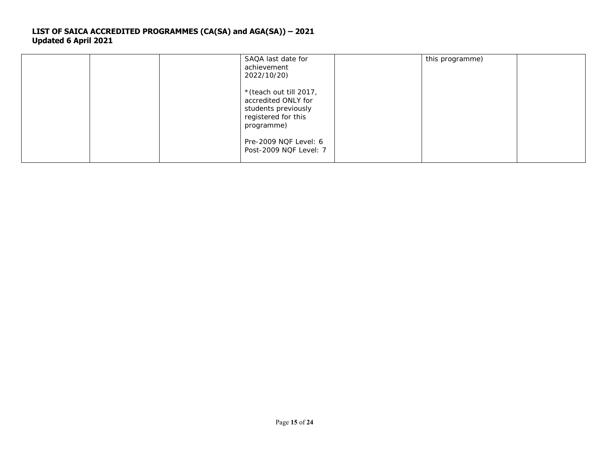| SAQA last date for<br>achievement<br>2022/10/20)                                                                                                              | this programme) |
|---------------------------------------------------------------------------------------------------------------------------------------------------------------|-----------------|
| * (teach out till 2017,<br>accredited ONLY for<br>students previously<br>registered for this<br>programme)<br>Pre-2009 NQF Level: 6<br>Post-2009 NQF Level: 7 |                 |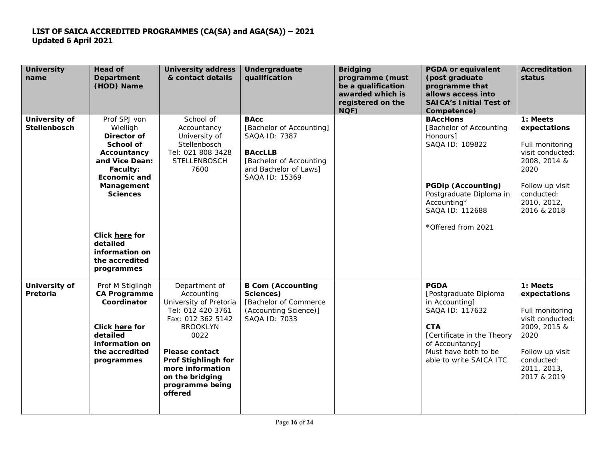| <b>University</b><br>name            | <b>Head of</b><br><b>Department</b><br>(HOD) Name                                                                                                                                                                                         | <b>University address</b><br>& contact details                                                                                                                                                                                                  | Undergraduate<br>qualification                                                                                                                   | <b>Bridging</b><br>programme (must<br>be a qualification<br>awarded which is<br>registered on the<br>NQF) | <b>PGDA or equivalent</b><br>(post graduate<br>programme that<br>allows access into<br><b>SAICA's Initial Test of</b><br>Competence)                                                        | <b>Accreditation</b><br>status                                                                                                                         |
|--------------------------------------|-------------------------------------------------------------------------------------------------------------------------------------------------------------------------------------------------------------------------------------------|-------------------------------------------------------------------------------------------------------------------------------------------------------------------------------------------------------------------------------------------------|--------------------------------------------------------------------------------------------------------------------------------------------------|-----------------------------------------------------------------------------------------------------------|---------------------------------------------------------------------------------------------------------------------------------------------------------------------------------------------|--------------------------------------------------------------------------------------------------------------------------------------------------------|
| University of<br><b>Stellenbosch</b> | Prof SPJ von<br>Wielligh<br>Director of<br>School of<br>Accountancy<br>and Vice Dean:<br>Faculty:<br><b>Economic and</b><br>Management<br><b>Sciences</b><br>Click here for<br>detailed<br>information on<br>the accredited<br>programmes | School of<br>Accountancy<br>University of<br>Stellenbosch<br>Tel: 021 808 3428<br><b>STELLENBOSCH</b><br>7600                                                                                                                                   | <b>BAcc</b><br>[Bachelor of Accounting]<br>SAQA ID: 7387<br><b>BAccLLB</b><br>[Bachelor of Accounting<br>and Bachelor of Laws]<br>SAQA ID: 15369 |                                                                                                           | <b>BAccHons</b><br>[Bachelor of Accounting<br>Honours]<br>SAQA ID: 109822<br><b>PGDip (Accounting)</b><br>Postgraduate Diploma in<br>Accounting*<br>SAQA ID: 112688<br>* Offered from 2021  | 1: Meets<br>expectations<br>Full monitoring<br>visit conducted:<br>2008, 2014 &<br>2020<br>Follow up visit<br>conducted:<br>2010, 2012,<br>2016 & 2018 |
| University of<br>Pretoria            | Prof M Stiglingh<br>CA Programme<br>Coordinator<br>Click here for<br>detailed<br>information on<br>the accredited<br>programmes                                                                                                           | Department of<br>Accounting<br>University of Pretoria<br>Tel: 012 420 3761<br>Fax: 012 362 5142<br><b>BROOKLYN</b><br>0022<br>Please contact<br><b>Prof Stighlingh for</b><br>more information<br>on the bridging<br>programme being<br>offered | <b>B Com (Accounting</b><br>Sciences)<br>[Bachelor of Commerce<br>(Accounting Science)]<br>SAQA ID: 7033                                         |                                                                                                           | <b>PGDA</b><br>[Postgraduate Diploma<br>in Accounting]<br>SAQA ID: 117632<br><b>CTA</b><br>[Certificate in the Theory<br>of Accountancy]<br>Must have both to be<br>able to write SAICA ITC | 1: Meets<br>expectations<br>Full monitoring<br>visit conducted:<br>2009, 2015 &<br>2020<br>Follow up visit<br>conducted:<br>2011, 2013,<br>2017 & 2019 |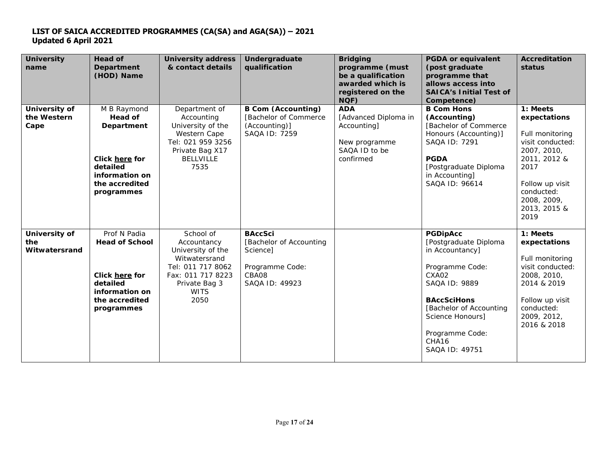| <b>University</b><br>name             | Head of<br><b>Department</b><br>(HOD) Name                                                                                  | <b>University address</b><br>& contact details                                                                                                   | Undergraduate<br>qualification                                                                      | <b>Bridging</b><br>programme (must<br>be a qualification<br>awarded which is<br>registered on the<br>NQF) | <b>PGDA or equivalent</b><br>(post graduate<br>programme that<br>allows access into<br><b>SAICA's Initial Test of</b><br>Competence)                                                                                                    | <b>Accreditation</b><br>status                                                                                                                                                 |
|---------------------------------------|-----------------------------------------------------------------------------------------------------------------------------|--------------------------------------------------------------------------------------------------------------------------------------------------|-----------------------------------------------------------------------------------------------------|-----------------------------------------------------------------------------------------------------------|-----------------------------------------------------------------------------------------------------------------------------------------------------------------------------------------------------------------------------------------|--------------------------------------------------------------------------------------------------------------------------------------------------------------------------------|
| University of<br>the Western<br>Cape  | M B Raymond<br>Head of<br><b>Department</b><br>Click here for<br>detailed<br>information on<br>the accredited<br>programmes | Department of<br>Accounting<br>University of the<br>Western Cape<br>Tel: 021 959 3256<br>Private Bag X17<br><b>BELLVILLE</b><br>7535             | <b>B Com (Accounting)</b><br>[Bachelor of Commerce<br>(Accounting)]<br>SAQA ID: 7259                | <b>ADA</b><br>[Advanced Diploma in<br>Accounting]<br>New programme<br>SAQA ID to be<br>confirmed          | <b>B Com Hons</b><br>(Accounting)<br>[Bachelor of Commerce<br>Honours (Accounting)]<br>SAQA ID: 7291<br><b>PGDA</b><br>[Postgraduate Diploma<br>in Accounting]<br>SAQA ID: 96614                                                        | 1: Meets<br>expectations<br>Full monitoring<br>visit conducted:<br>2007, 2010,<br>2011, 2012 &<br>2017<br>Follow up visit<br>conducted:<br>2008, 2009,<br>2013, 2015 &<br>2019 |
| University of<br>the<br>Witwatersrand | Prof N Padia<br><b>Head of School</b><br>Click here for<br>detailed<br>information on<br>the accredited<br>programmes       | School of<br>Accountancy<br>University of the<br>Witwatersrand<br>Tel: 011 717 8062<br>Fax: 011 717 8223<br>Private Bag 3<br><b>WITS</b><br>2050 | <b>BAccSci</b><br>[Bachelor of Accounting<br>Science]<br>Programme Code:<br>CBA08<br>SAQA ID: 49923 |                                                                                                           | <b>PGDipAcc</b><br>[Postgraduate Diploma<br>in Accountancy]<br>Programme Code:<br>CXA02<br>SAQA ID: 9889<br><b>BAccSciHons</b><br>[Bachelor of Accounting<br>Science Honours]<br>Programme Code:<br>CHA <sub>16</sub><br>SAQA ID: 49751 | 1: Meets<br>expectations<br>Full monitoring<br>visit conducted:<br>2008, 2010,<br>2014 & 2019<br>Follow up visit<br>conducted:<br>2009, 2012,<br>2016 & 2018                   |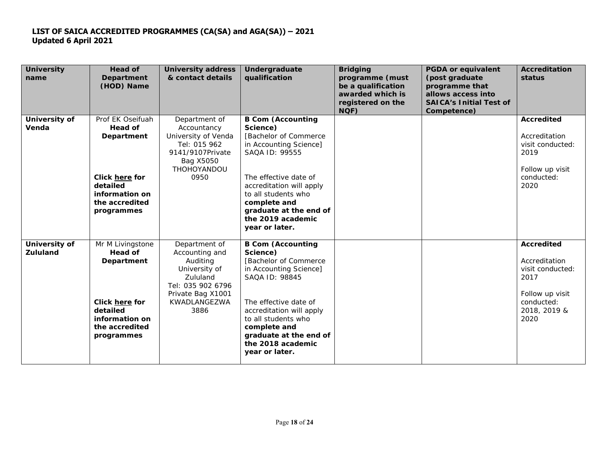| <b>University</b><br>name        | <b>Head of</b><br><b>Department</b><br>(HOD) Name                                                       | <b>University address</b><br>& contact details                                                                                             | Undergraduate<br>qualification                                                                                                                                                        | <b>Bridging</b><br>programme (must<br>be a qualification<br>awarded which is<br>registered on the<br>NQF) | <b>PGDA or equivalent</b><br>(post graduate<br>programme that<br>allows access into<br><b>SAICA's Initial Test of</b><br>Competence) | <b>Accreditation</b><br>status                                                                                   |
|----------------------------------|---------------------------------------------------------------------------------------------------------|--------------------------------------------------------------------------------------------------------------------------------------------|---------------------------------------------------------------------------------------------------------------------------------------------------------------------------------------|-----------------------------------------------------------------------------------------------------------|--------------------------------------------------------------------------------------------------------------------------------------|------------------------------------------------------------------------------------------------------------------|
| University of<br>Venda           | Prof EK Oseifuah<br>Head of<br><b>Department</b>                                                        | Department of<br>Accountancy<br>University of Venda<br>Tel: 015 962<br>9141/9107Private<br>Bag X5050<br><b>THOHOYANDOU</b>                 | <b>B Com (Accounting</b><br>Science)<br>[Bachelor of Commerce<br>in Accounting Science]<br>SAQA ID: 99555                                                                             |                                                                                                           |                                                                                                                                      | <b>Accredited</b><br>Accreditation<br>visit conducted:<br>2019<br>Follow up visit                                |
|                                  | <b>Click here for</b><br>detailed<br>information on<br>the accredited<br>programmes                     | 0950                                                                                                                                       | The effective date of<br>accreditation will apply<br>to all students who<br>complete and<br>graduate at the end of<br>the 2019 academic<br>year or later.                             |                                                                                                           |                                                                                                                                      | conducted:<br>2020                                                                                               |
| University of<br><b>Zululand</b> | Mr M Livingstone<br>Head of<br><b>Department</b><br>Click here for<br>detailed<br><i>information on</i> | Department of<br>Accounting and<br>Auditing<br>University of<br>Zululand<br>Tel: 035 902 6796<br>Private Bag X1001<br>KWADLANGEZWA<br>3886 | <b>B Com (Accounting</b><br>Science)<br>[Bachelor of Commerce<br>in Accounting Science]<br>SAQA ID: 98845<br>The effective date of<br>accreditation will apply<br>to all students who |                                                                                                           |                                                                                                                                      | Accredited<br>Accreditation<br>visit conducted:<br>2017<br>Follow up visit<br>conducted:<br>2018, 2019 &<br>2020 |
|                                  | the accredited<br>programmes                                                                            |                                                                                                                                            | complete and<br>graduate at the end of<br>the 2018 academic<br>year or later.                                                                                                         |                                                                                                           |                                                                                                                                      |                                                                                                                  |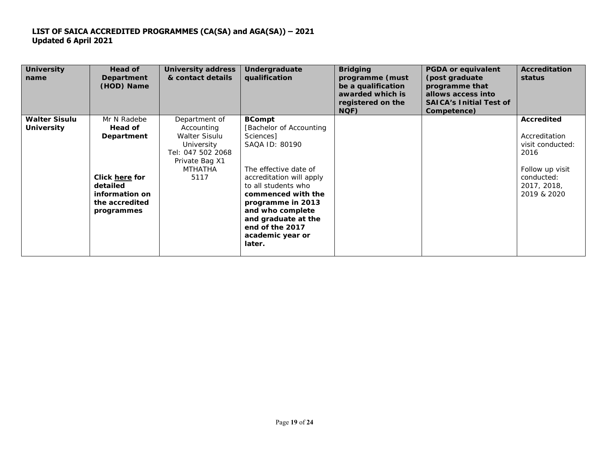| <b>University</b><br>name | Head of<br>Department<br>(HOD) Name | <b>University address</b><br>& contact details | Undergraduate<br>qualification | <b>Bridging</b><br>programme (must<br>be a qualification<br>awarded which is<br>registered on the<br>NQF) | <b>PGDA or equivalent</b><br>(post graduate)<br>programme that<br>allows access into<br><b>SAICA's Initial Test of</b><br>Competence) | <b>Accreditation</b><br>status |
|---------------------------|-------------------------------------|------------------------------------------------|--------------------------------|-----------------------------------------------------------------------------------------------------------|---------------------------------------------------------------------------------------------------------------------------------------|--------------------------------|
| <b>Walter Sisulu</b>      | Mr N Radebe                         | Department of                                  | <b>BCompt</b>                  |                                                                                                           |                                                                                                                                       | <b>Accredited</b>              |
| <b>University</b>         | <b>Head of</b>                      | Accounting                                     | [Bachelor of Accounting]       |                                                                                                           |                                                                                                                                       |                                |
|                           | <b>Department</b>                   | Walter Sisulu                                  | Sciences]                      |                                                                                                           |                                                                                                                                       | Accreditation                  |
|                           |                                     | University                                     | SAQA ID: 80190                 |                                                                                                           |                                                                                                                                       | visit conducted:               |
|                           |                                     | Tel: 047 502 2068                              |                                |                                                                                                           |                                                                                                                                       | 2016                           |
|                           |                                     | Private Bag X1                                 |                                |                                                                                                           |                                                                                                                                       |                                |
|                           |                                     | <b>MTHATHA</b>                                 | The effective date of          |                                                                                                           |                                                                                                                                       | Follow up visit                |
|                           | Click here for                      | 5117                                           | accreditation will apply       |                                                                                                           |                                                                                                                                       | conducted:                     |
|                           | detailed                            |                                                | to all students who            |                                                                                                           |                                                                                                                                       | 2017, 2018,                    |
|                           | <i>information on</i>               |                                                | commenced with the             |                                                                                                           |                                                                                                                                       | 2019 & 2020                    |
|                           | the accredited                      |                                                | programme in 2013              |                                                                                                           |                                                                                                                                       |                                |
|                           | programmes                          |                                                | and who complete               |                                                                                                           |                                                                                                                                       |                                |
|                           |                                     |                                                | and graduate at the            |                                                                                                           |                                                                                                                                       |                                |
|                           |                                     |                                                | end of the 2017                |                                                                                                           |                                                                                                                                       |                                |
|                           |                                     |                                                | academic year or               |                                                                                                           |                                                                                                                                       |                                |
|                           |                                     |                                                | later.                         |                                                                                                           |                                                                                                                                       |                                |
|                           |                                     |                                                |                                |                                                                                                           |                                                                                                                                       |                                |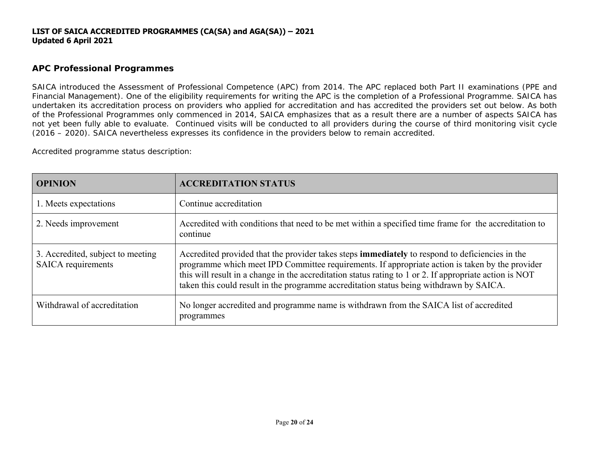# **APC Professional Programmes**

SAICA introduced the Assessment of Professional Competence (APC) from 2014. The APC replaced both Part II examinations (PPE and Financial Management). One of the eligibility requirements for writing the APC is the completion of a Professional Programme. SAICA has undertaken its accreditation process on providers who applied for accreditation and has accredited the providers set out below. As both of the Professional Programmes only commenced in 2014, SAICA emphasizes that as a result there are a number of aspects SAICA has not yet been fully able to evaluate. Continued visits will be conducted to all providers during the course of third monitoring visit cycle (2016 – 2020). SAICA nevertheless expresses its confidence in the providers below to remain accredited.

Accredited programme status description:

| <b>OPINION</b>                                                 | <b>ACCREDITATION STATUS</b>                                                                                                                                                                                                                                                                                                                                                                                     |
|----------------------------------------------------------------|-----------------------------------------------------------------------------------------------------------------------------------------------------------------------------------------------------------------------------------------------------------------------------------------------------------------------------------------------------------------------------------------------------------------|
| 1. Meets expectations                                          | Continue accreditation                                                                                                                                                                                                                                                                                                                                                                                          |
| 2. Needs improvement                                           | Accredited with conditions that need to be met within a specified time frame for the accreditation to<br>continue                                                                                                                                                                                                                                                                                               |
| 3. Accredited, subject to meeting<br><b>SAICA</b> requirements | Accredited provided that the provider takes steps <b>immediately</b> to respond to deficiencies in the<br>programme which meet IPD Committee requirements. If appropriate action is taken by the provider<br>this will result in a change in the accreditation status rating to 1 or 2. If appropriate action is NOT<br>taken this could result in the programme accreditation status being withdrawn by SAICA. |
| Withdrawal of accreditation                                    | No longer accredited and programme name is withdrawn from the SAICA list of accredited<br>programmes                                                                                                                                                                                                                                                                                                            |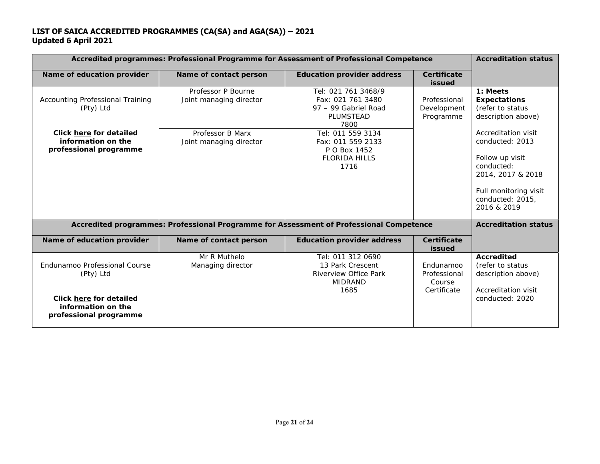| Accredited programmes: Professional Programme for Assessment of Professional Competence |                                               | <b>Accreditation status</b>                                                                     |                                                    |                                                                                                                                                          |
|-----------------------------------------------------------------------------------------|-----------------------------------------------|-------------------------------------------------------------------------------------------------|----------------------------------------------------|----------------------------------------------------------------------------------------------------------------------------------------------------------|
| Name of education provider                                                              | Name of contact person                        | <b>Education provider address</b>                                                               | <b>Certificate</b><br><b>issued</b>                |                                                                                                                                                          |
| <b>Accounting Professional Training</b><br>(Pty) Ltd                                    | Professor P Bourne<br>Joint managing director | Tel: 021 761 3468/9<br>Fax: 021 761 3480<br>97 - 99 Gabriel Road<br>PLUMSTEAD<br>7800           | Professional<br>Development<br>Programme           | 1: Meets<br><b>Expectations</b><br>(refer to status<br>description above)                                                                                |
| Click here for detailed<br>information on the<br>professional programme                 | Professor B Marx<br>Joint managing director   | Tel: 011 559 3134<br>Fax: 011 559 2133<br>P O Box 1452<br><b>FLORIDA HILLS</b><br>1716          |                                                    | Accreditation visit<br>conducted: 2013<br>Follow up visit<br>conducted:<br>2014, 2017 & 2018<br>Full monitoring visit<br>conducted: 2015,<br>2016 & 2019 |
|                                                                                         |                                               | Accredited programmes: Professional Programme for Assessment of Professional Competence         |                                                    | <b>Accreditation status</b>                                                                                                                              |
| Name of education provider                                                              | Name of contact person                        | <b>Education provider address</b>                                                               | Certificate<br><b>issued</b>                       |                                                                                                                                                          |
| Endunamoo Professional Course<br>(Pty) Ltd                                              | Mr R Muthelo<br>Managing director             | Tel: 011 312 0690<br>13 Park Crescent<br><b>Riverview Office Park</b><br><b>MIDRAND</b><br>1685 | Endunamoo<br>Professional<br>Course<br>Certificate | <b>Accredited</b><br>(refer to status<br>description above)<br>Accreditation visit                                                                       |
| Click here for detailed<br>information on the<br>professional programme                 |                                               |                                                                                                 |                                                    | conducted: 2020                                                                                                                                          |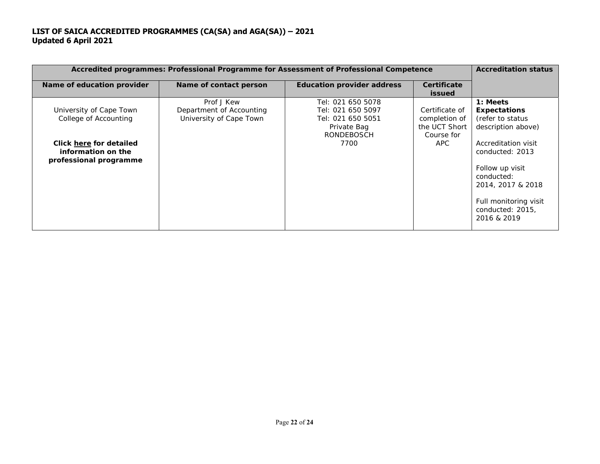| Accredited programmes: Professional Programme for Assessment of Professional Competence                                     |                                                                   | <b>Accreditation status</b>                                                                      |                                                                       |                                                                                                                     |
|-----------------------------------------------------------------------------------------------------------------------------|-------------------------------------------------------------------|--------------------------------------------------------------------------------------------------|-----------------------------------------------------------------------|---------------------------------------------------------------------------------------------------------------------|
| Name of education provider                                                                                                  | Name of contact person                                            | <b>Education provider address</b>                                                                | Certificate<br><b>issued</b>                                          |                                                                                                                     |
| University of Cape Town<br>College of Accounting<br>Click here for detailed<br>information on the<br>professional programme | Prof J Kew<br>Department of Accounting<br>University of Cape Town | Tel: 021 650 5078<br>Tel: 021 650 5097<br>Tel: 021 650 5051<br>Private Bag<br>RONDEBOSCH<br>7700 | Certificate of<br>completion of<br>the UCT Short<br>Course for<br>APC | 1: Meets<br><b>Expectations</b><br>(refer to status<br>description above)<br>Accreditation visit<br>conducted: 2013 |
|                                                                                                                             |                                                                   |                                                                                                  |                                                                       | Follow up visit<br>conducted:<br>2014, 2017 & 2018<br>Full monitoring visit<br>conducted: 2015,<br>2016 & 2019      |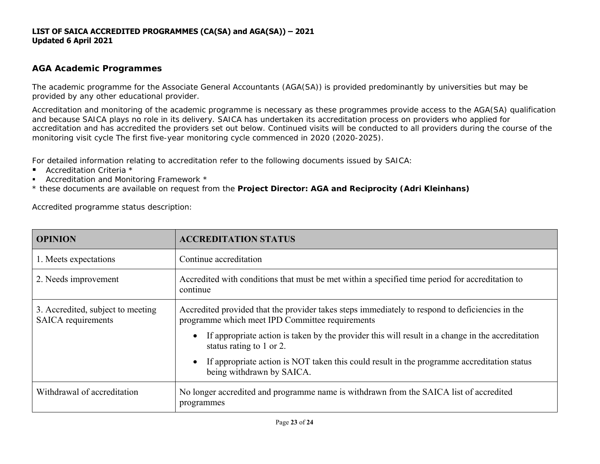# **AGA Academic Programmes**

The academic programme for the Associate General Accountants (AGA(SA)) is provided predominantly by universities but may be provided by any other educational provider.

Accreditation and monitoring of the academic programme is necessary as these programmes provide access to the AGA(SA) qualification and because SAICA plays no role in its delivery. SAICA has undertaken its accreditation process on providers who applied for accreditation and has accredited the providers set out below. Continued visits will be conducted to all providers during the course of the monitoring visit cycle The first five-year monitoring cycle commenced in 2020 (2020-2025).

For detailed information relating to accreditation refer to the following documents issued by SAICA:

- Accreditation Criteria \*
- Accreditation and Monitoring Framework \*
- \* these documents are available on request from the *Project Director: AGA and Reciprocity (Adri Kleinhans)*

Accredited programme status description:

| <b>OPINION</b>                                          | <b>ACCREDITATION STATUS</b>                                                                                                                        |  |  |
|---------------------------------------------------------|----------------------------------------------------------------------------------------------------------------------------------------------------|--|--|
| 1. Meets expectations                                   | Continue accreditation                                                                                                                             |  |  |
| 2. Needs improvement                                    | Accredited with conditions that must be met within a specified time period for accreditation to<br>continue                                        |  |  |
| 3. Accredited, subject to meeting<br>SAICA requirements | Accredited provided that the provider takes steps immediately to respond to deficiencies in the<br>programme which meet IPD Committee requirements |  |  |
|                                                         | If appropriate action is taken by the provider this will result in a change in the accreditation<br>status rating to 1 or 2.                       |  |  |
|                                                         | If appropriate action is NOT taken this could result in the programme accreditation status<br>being withdrawn by SAICA.                            |  |  |
| Withdrawal of accreditation                             | No longer accredited and programme name is withdrawn from the SAICA list of accredited<br>programmes                                               |  |  |